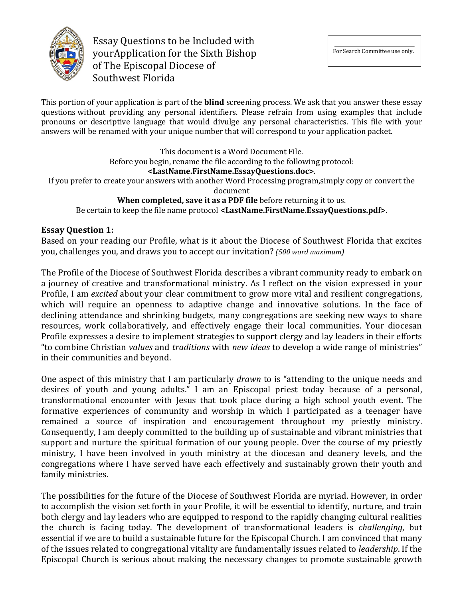

Essay Questions to be Included with yourApplication for the Sixth Bishop of The Episcopal Diocese of Southwest Florida

This portion of your application is part of the **blind** screening process. We ask that you answer these essay questions without providing any personal identifiers. Please refrain from using examples that include pronouns or descriptive language that would divulge any personal characteristics. This file with your answers will be renamed with your unique number that will correspond to your application packet.

This document is a Word Document File. Before you begin, rename the file according to the following protocol: **<LastName.FirstName.EssayQuestions.doc>**. If you prefer to create your answers with another Word Processing program, simply copy or convert the document **When completed, save it as a PDF file** before returning it to us. Be certain to keep the file name protocol **<LastName.FirstName.EssayQuestions.pdf>**.

# **Essay Question 1:**

Based on your reading our Profile, what is it about the Diocese of Southwest Florida that excites you, challenges you, and draws you to accept our invitation? *(500 word maximum)* 

The Profile of the Diocese of Southwest Florida describes a vibrant community ready to embark on a journey of creative and transformational ministry. As I reflect on the vision expressed in your Profile, I am *excited* about your clear commitment to grow more vital and resilient congregations, which will require an openness to adaptive change and innovative solutions. In the face of declining attendance and shrinking budgets, many congregations are seeking new ways to share resources, work collaboratively, and effectively engage their local communities. Your diocesan Profile expresses a desire to implement strategies to support clergy and lay leaders in their efforts "to combine Christian *values* and *traditions* with *new ideas* to develop a wide range of ministries" in their communities and beyond.

One aspect of this ministry that I am particularly *drawn* to is "attending to the unique needs and desires of youth and young adults." I am an Episcopal priest today because of a personal, transformational encounter with Jesus that took place during a high school youth event. The formative experiences of community and worship in which I participated as a teenager have remained a source of inspiration and encouragement throughout my priestly ministry. Consequently, I am deeply committed to the building up of sustainable and vibrant ministries that support and nurture the spiritual formation of our young people. Over the course of my priestly ministry, I have been involved in youth ministry at the diocesan and deanery levels, and the congregations where I have served have each effectively and sustainably grown their youth and family ministries.

The possibilities for the future of the Diocese of Southwest Florida are myriad. However, in order to accomplish the vision set forth in your Profile, it will be essential to identify, nurture, and train both clergy and lay leaders who are equipped to respond to the rapidly changing cultural realities the church is facing today. The development of transformational leaders is *challenging*, but essential if we are to build a sustainable future for the Episcopal Church. I am convinced that many of the issues related to congregational vitality are fundamentally issues related to *leadership*. If the Episcopal Church is serious about making the necessary changes to promote sustainable growth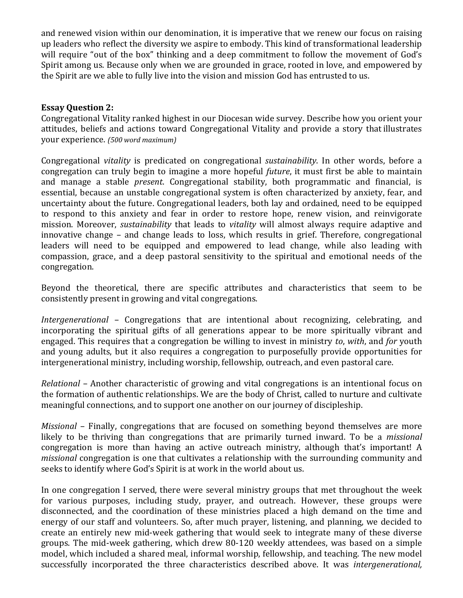and renewed vision within our denomination, it is imperative that we renew our focus on raising up leaders who reflect the diversity we aspire to embody. This kind of transformational leadership will require "out of the box" thinking and a deep commitment to follow the movement of God's Spirit among us. Because only when we are grounded in grace, rooted in love, and empowered by the Spirit are we able to fully live into the vision and mission God has entrusted to us.

### **Essay Question 2:**

Congregational Vitality ranked highest in our Diocesan wide survey. Describe how you orient your attitudes, beliefs and actions toward Congregational Vitality and provide a story that illustrates your experience. *(500 word maximum)*

Congregational *vitality* is predicated on congregational *sustainability*. In other words, before a congregation can truly begin to imagine a more hopeful *future*, it must first be able to maintain and manage a stable *present*. Congregational stability, both programmatic and financial, is essential, because an unstable congregational system is often characterized by anxiety, fear, and uncertainty about the future. Congregational leaders, both lay and ordained, need to be equipped to respond to this anxiety and fear in order to restore hope, renew vision, and reinvigorate mission. Moreover, *sustainability* that leads to *vitality* will almost always require adaptive and innovative change – and change leads to loss, which results in grief. Therefore, congregational leaders will need to be equipped and empowered to lead change, while also leading with compassion, grace, and a deep pastoral sensitivity to the spiritual and emotional needs of the congregation.

Beyond the theoretical, there are specific attributes and characteristics that seem to be consistently present in growing and vital congregations.

*Intergenerational* - Congregations that are intentional about recognizing, celebrating, and incorporating the spiritual gifts of all generations appear to be more spiritually vibrant and engaged. This requires that a congregation be willing to invest in ministry *to, with,* and *for* youth and young adults, but it also requires a congregation to purposefully provide opportunities for intergenerational ministry, including worship, fellowship, outreach, and even pastoral care.

*Relational* – Another characteristic of growing and vital congregations is an intentional focus on the formation of authentic relationships. We are the body of Christ, called to nurture and cultivate meaningful connections, and to support one another on our journey of discipleship.

*Missional* – Finally, congregations that are focused on something beyond themselves are more likely to be thriving than congregations that are primarily turned inward. To be a *missional* congregation is more than having an active outreach ministry, although that's important! A *missional* congregation is one that cultivates a relationship with the surrounding community and seeks to identify where God's Spirit is at work in the world about us.

In one congregation I served, there were several ministry groups that met throughout the week for various purposes, including study, prayer, and outreach. However, these groups were disconnected, and the coordination of these ministries placed a high demand on the time and energy of our staff and volunteers. So, after much prayer, listening, and planning, we decided to create an entirely new mid-week gathering that would seek to integrate many of these diverse groups. The mid-week gathering, which drew 80-120 weekly attendees, was based on a simple model, which included a shared meal, informal worship, fellowship, and teaching. The new model successfully incorporated the three characteristics described above. It was *intergenerational*,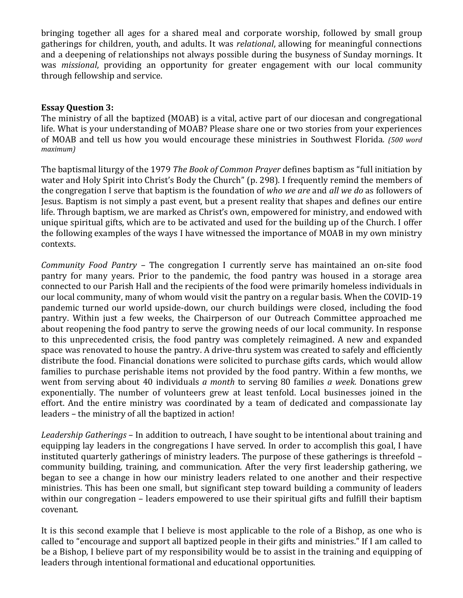bringing together all ages for a shared meal and corporate worship, followed by small group gatherings for children, youth, and adults. It was *relational*, allowing for meaningful connections and a deepening of relationships not always possible during the busyness of Sunday mornings. It was *missional*, providing an opportunity for greater engagement with our local community through fellowship and service.

### **Essay Question 3:**

The ministry of all the baptized (MOAB) is a vital, active part of our diocesan and congregational life. What is your understanding of MOAB? Please share one or two stories from your experiences of MOAB and tell us how you would encourage these ministries in Southwest Florida. (500 word *maximum)*

The baptismal liturgy of the 1979 *The Book of Common Prayer* defines baptism as "full initiation by water and Holy Spirit into Christ's Body the Church" (p. 298). I frequently remind the members of the congregation I serve that baptism is the foundation of who we are and all we do as followers of Jesus. Baptism is not simply a past event, but a present reality that shapes and defines our entire life. Through baptism, we are marked as Christ's own, empowered for ministry, and endowed with unique spiritual gifts, which are to be activated and used for the building up of the Church. I offer the following examples of the ways I have witnessed the importance of MOAB in my own ministry contexts. 

*Community Food Pantry* – The congregation I currently serve has maintained an on-site food pantry for many years. Prior to the pandemic, the food pantry was housed in a storage area connected to our Parish Hall and the recipients of the food were primarily homeless individuals in our local community, many of whom would visit the pantry on a regular basis. When the COVID-19 pandemic turned our world upside-down, our church buildings were closed, including the food pantry. Within just a few weeks, the Chairperson of our Outreach Committee approached me about reopening the food pantry to serve the growing needs of our local community. In response to this unprecedented crisis, the food pantry was completely reimagined. A new and expanded space was renovated to house the pantry. A drive-thru system was created to safely and efficiently distribute the food. Financial donations were solicited to purchase gifts cards, which would allow families to purchase perishable items not provided by the food pantry. Within a few months, we went from serving about 40 individuals *a month* to serving 80 families *a week*. Donations grew exponentially. The number of volunteers grew at least tenfold. Local businesses joined in the effort. And the entire ministry was coordinated by a team of dedicated and compassionate lay leaders - the ministry of all the baptized in action!

Leadership Gatherings – In addition to outreach, I have sought to be intentional about training and equipping lay leaders in the congregations I have served. In order to accomplish this goal, I have instituted quarterly gatherings of ministry leaders. The purpose of these gatherings is threefold  $$ community building, training, and communication. After the very first leadership gathering, we began to see a change in how our ministry leaders related to one another and their respective ministries. This has been one small, but significant step toward building a community of leaders within our congregation  $-$  leaders empowered to use their spiritual gifts and fulfill their baptism covenant. 

It is this second example that I believe is most applicable to the role of a Bishop, as one who is called to "encourage and support all baptized people in their gifts and ministries." If I am called to be a Bishop, I believe part of my responsibility would be to assist in the training and equipping of leaders through intentional formational and educational opportunities.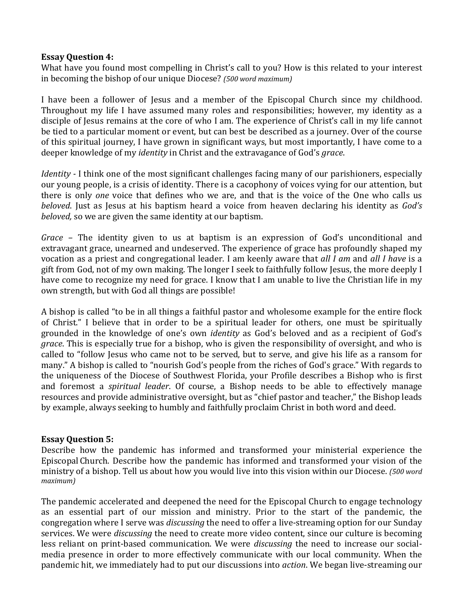### **Essay Question 4:**

What have you found most compelling in Christ's call to you? How is this related to your interest in becoming the bishop of our unique Diocese? (500 word maximum)

I have been a follower of Jesus and a member of the Episcopal Church since my childhood. Throughout my life I have assumed many roles and responsibilities; however, my identity as a disciple of Jesus remains at the core of who I am. The experience of Christ's call in my life cannot be tied to a particular moment or event, but can best be described as a journey. Over of the course of this spiritual journey, I have grown in significant ways, but most importantly, I have come to a deeper knowledge of my *identity* in Christ and the extravagance of God's *grace*.

*Identity* - I think one of the most significant challenges facing many of our parishioners, especially our young people, is a crisis of identity. There is a cacophony of voices vying for our attention, but there is only *one* voice that defines who we are, and that is the voice of the One who calls us *beloved*. Just as Jesus at his baptism heard a voice from heaven declaring his identity as *God's beloved*, so we are given the same identity at our baptism.

*Grace* – The identity given to us at baptism is an expression of God's unconditional and extravagant grace, unearned and undeserved. The experience of grace has profoundly shaped my vocation as a priest and congregational leader. I am keenly aware that *all I am* and *all I have* is a gift from God, not of my own making. The longer I seek to faithfully follow Jesus, the more deeply I have come to recognize my need for grace. I know that I am unable to live the Christian life in my own strength, but with God all things are possible!

A bishop is called "to be in all things a faithful pastor and wholesome example for the entire flock of Christ." I believe that in order to be a spiritual leader for others, one must be spiritually grounded in the knowledge of one's own *identity* as God's beloved and as a recipient of God's *grace*. This is especially true for a bishop, who is given the responsibility of oversight, and who is called to "follow Jesus who came not to be served, but to serve, and give his life as a ransom for many." A bishop is called to "nourish God's people from the riches of God's grace." With regards to the uniqueness of the Diocese of Southwest Florida, your Profile describes a Bishop who is first and foremost a *spiritual leader*. Of course, a Bishop needs to be able to effectively manage resources and provide administrative oversight, but as "chief pastor and teacher," the Bishop leads by example, always seeking to humbly and faithfully proclaim Christ in both word and deed.

## **Essay Question 5:**

Describe how the pandemic has informed and transformed your ministerial experience the EpiscopalChurch. Describe how the pandemic has informed and transformed your vision of the ministry of a bishop. Tell us about how you would live into this vision within our Diocese. *(500 word maximum)*

The pandemic accelerated and deepened the need for the Episcopal Church to engage technology as an essential part of our mission and ministry. Prior to the start of the pandemic, the congregation where I serve was *discussing* the need to offer a live-streaming option for our Sunday services. We were *discussing* the need to create more video content, since our culture is becoming less reliant on print-based communication. We were *discussing* the need to increase our socialmedia presence in order to more effectively communicate with our local community. When the pandemic hit, we immediately had to put our discussions into *action*. We began live-streaming our